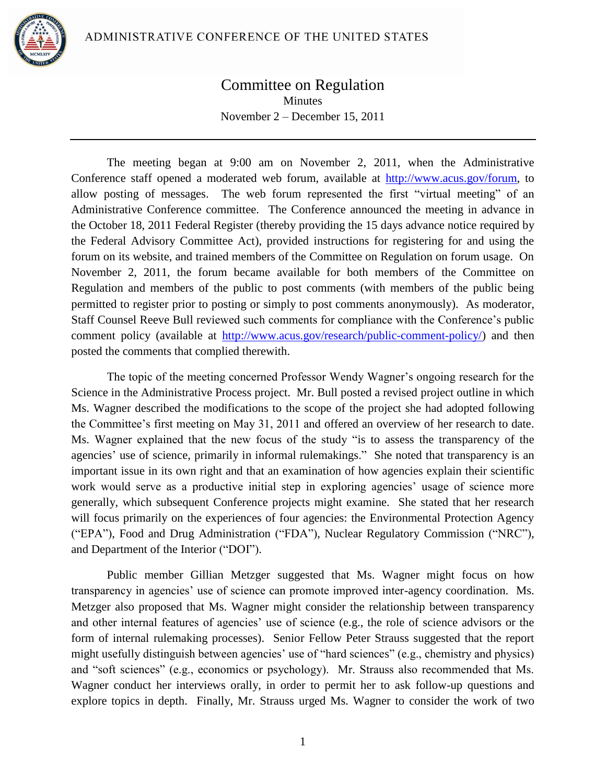

## Committee on Regulation **Minutes** November 2 – December 15, 2011

The meeting began at 9:00 am on November 2, 2011, when the Administrative Conference staff opened a moderated web forum, available at [http://www.acus.gov/forum,](http://www.acus.gov/forum) to allow posting of messages. The web forum represented the first "virtual meeting" of an Administrative Conference committee. The Conference announced the meeting in advance in the October 18, 2011 Federal Register (thereby providing the 15 days advance notice required by the Federal Advisory Committee Act), provided instructions for registering for and using the forum on its website, and trained members of the Committee on Regulation on forum usage. On November 2, 2011, the forum became available for both members of the Committee on Regulation and members of the public to post comments (with members of the public being permitted to register prior to posting or simply to post comments anonymously). As moderator, Staff Counsel Reeve Bull reviewed such comments for compliance with the Conference's public comment policy (available at [http://www.acus.gov/research/public-comment-policy/\)](http://www.acus.gov/research/public-comment-policy/) and then posted the comments that complied therewith.

The topic of the meeting concerned Professor Wendy Wagner's ongoing research for the Science in the Administrative Process project. Mr. Bull posted a revised project outline in which Ms. Wagner described the modifications to the scope of the project she had adopted following the Committee's first meeting on May 31, 2011 and offered an overview of her research to date. Ms. Wagner explained that the new focus of the study "is to assess the transparency of the agencies' use of science, primarily in informal rulemakings." She noted that transparency is an important issue in its own right and that an examination of how agencies explain their scientific work would serve as a productive initial step in exploring agencies' usage of science more generally, which subsequent Conference projects might examine. She stated that her research will focus primarily on the experiences of four agencies: the Environmental Protection Agency ("EPA"), Food and Drug Administration ("FDA"), Nuclear Regulatory Commission ("NRC"), and Department of the Interior ("DOI").

Public member Gillian Metzger suggested that Ms. Wagner might focus on how transparency in agencies' use of science can promote improved inter-agency coordination. Ms. Metzger also proposed that Ms. Wagner might consider the relationship between transparency and other internal features of agencies' use of science (e.g., the role of science advisors or the form of internal rulemaking processes). Senior Fellow Peter Strauss suggested that the report might usefully distinguish between agencies' use of "hard sciences" (e.g., chemistry and physics) and "soft sciences" (e.g., economics or psychology). Mr. Strauss also recommended that Ms. Wagner conduct her interviews orally, in order to permit her to ask follow-up questions and explore topics in depth. Finally, Mr. Strauss urged Ms. Wagner to consider the work of two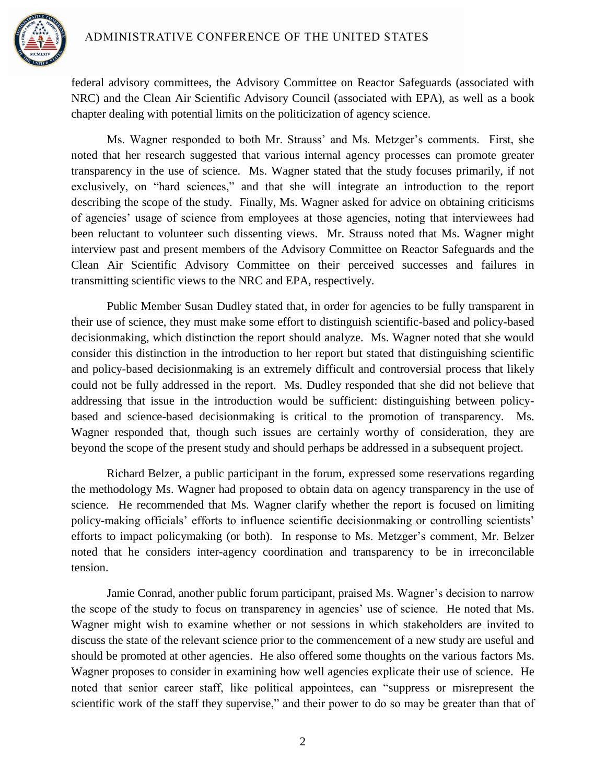

federal advisory committees, the Advisory Committee on Reactor Safeguards (associated with NRC) and the Clean Air Scientific Advisory Council (associated with EPA), as well as a book chapter dealing with potential limits on the politicization of agency science.

Ms. Wagner responded to both Mr. Strauss' and Ms. Metzger's comments. First, she noted that her research suggested that various internal agency processes can promote greater transparency in the use of science. Ms. Wagner stated that the study focuses primarily, if not exclusively, on "hard sciences," and that she will integrate an introduction to the report describing the scope of the study. Finally, Ms. Wagner asked for advice on obtaining criticisms of agencies' usage of science from employees at those agencies, noting that interviewees had been reluctant to volunteer such dissenting views. Mr. Strauss noted that Ms. Wagner might interview past and present members of the Advisory Committee on Reactor Safeguards and the Clean Air Scientific Advisory Committee on their perceived successes and failures in transmitting scientific views to the NRC and EPA, respectively.

Public Member Susan Dudley stated that, in order for agencies to be fully transparent in their use of science, they must make some effort to distinguish scientific-based and policy-based decisionmaking, which distinction the report should analyze. Ms. Wagner noted that she would consider this distinction in the introduction to her report but stated that distinguishing scientific and policy-based decisionmaking is an extremely difficult and controversial process that likely could not be fully addressed in the report. Ms. Dudley responded that she did not believe that addressing that issue in the introduction would be sufficient: distinguishing between policybased and science-based decisionmaking is critical to the promotion of transparency. Ms. Wagner responded that, though such issues are certainly worthy of consideration, they are beyond the scope of the present study and should perhaps be addressed in a subsequent project.

Richard Belzer, a public participant in the forum, expressed some reservations regarding the methodology Ms. Wagner had proposed to obtain data on agency transparency in the use of science. He recommended that Ms. Wagner clarify whether the report is focused on limiting policy-making officials' efforts to influence scientific decisionmaking or controlling scientists' efforts to impact policymaking (or both). In response to Ms. Metzger's comment, Mr. Belzer noted that he considers inter-agency coordination and transparency to be in irreconcilable tension.

Jamie Conrad, another public forum participant, praised Ms. Wagner's decision to narrow the scope of the study to focus on transparency in agencies' use of science. He noted that Ms. Wagner might wish to examine whether or not sessions in which stakeholders are invited to discuss the state of the relevant science prior to the commencement of a new study are useful and should be promoted at other agencies. He also offered some thoughts on the various factors Ms. Wagner proposes to consider in examining how well agencies explicate their use of science. He noted that senior career staff, like political appointees, can "suppress or misrepresent the scientific work of the staff they supervise," and their power to do so may be greater than that of